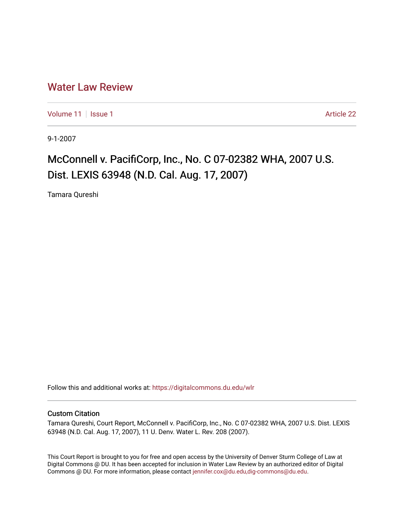## [Water Law Review](https://digitalcommons.du.edu/wlr)

[Volume 11](https://digitalcommons.du.edu/wlr/vol11) | [Issue 1](https://digitalcommons.du.edu/wlr/vol11/iss1) Article 22

9-1-2007

## McConnell v. PacifiCorp, Inc., No. C 07-02382 WHA, 2007 U.S. Dist. LEXIS 63948 (N.D. Cal. Aug. 17, 2007)

Tamara Qureshi

Follow this and additional works at: [https://digitalcommons.du.edu/wlr](https://digitalcommons.du.edu/wlr?utm_source=digitalcommons.du.edu%2Fwlr%2Fvol11%2Fiss1%2F22&utm_medium=PDF&utm_campaign=PDFCoverPages) 

## Custom Citation

Tamara Qureshi, Court Report, McConnell v. PacifiCorp, Inc., No. C 07-02382 WHA, 2007 U.S. Dist. LEXIS 63948 (N.D. Cal. Aug. 17, 2007), 11 U. Denv. Water L. Rev. 208 (2007).

This Court Report is brought to you for free and open access by the University of Denver Sturm College of Law at Digital Commons @ DU. It has been accepted for inclusion in Water Law Review by an authorized editor of Digital Commons @ DU. For more information, please contact [jennifer.cox@du.edu,dig-commons@du.edu.](mailto:jennifer.cox@du.edu,dig-commons@du.edu)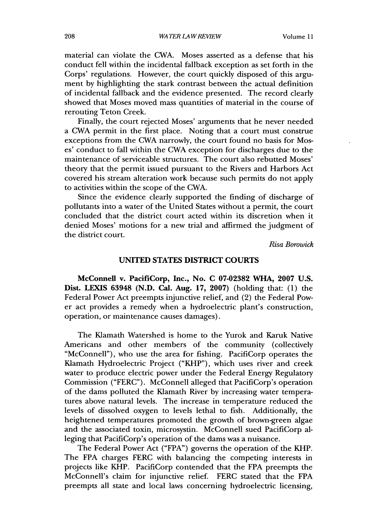material can violate the CWA. Moses asserted as a defense that his conduct fell within the incidental fallback exception as set forth in the Corps' regulations. However, the court quickly disposed of this argument by highlighting the stark contrast between the actual definition of incidental fallback and the evidence presented. The record clearly showed that Moses moved mass quantities of material in the course of rerouting Teton Creek.

Finally, the court rejected Moses' arguments that he never needed a CWA permit in the first place. Noting that a court must construe exceptions from the CWA narrowly, the court found no basis for Moses' conduct to fall within the CWA exception for discharges due to the maintenance of serviceable structures. The court also rebutted Moses' theory that the permit issued pursuant to the Rivers and Harbors Act covered his stream alteration work because such permits do not apply to activities within the scope of the CWA.

Since the evidence clearly supported the finding of discharge of pollutants into a water of the United States without a permit, the court concluded that the district court acted within its discretion when it denied Moses' motions for a new trial and affirmed the judgment of the district court.

*Risa Borowick*

## **UNITED STATES** DISTRICT **COURTS**

McConnell v. PacifiCorp, Inc., No. **C 07-02382** WHA, **2007 U.S.** Dist. **LEXIS 63948 (N.D.** Cal. Aug. **17, 2007)** (holding that: **(1)** the Federal Power Act preempts injunctive relief, and (2) the Federal Power act provides a remedy when a hydroelectric plant's construction, operation, or maintenance causes damages).

The Klamath Watershed is home to the Yurok and Karuk Native Americans and other members of the community (collectively "McConnell"), who use the area for fishing. PacifiCorp operates the Klamath Hydroelectric Project ("KHP"), which uses river and creek water to produce electric power under the Federal Energy Regulatory Commission ("FERC"). McConnell alleged that PacifiCorp's operation of the dams polluted the Klamath River by increasing water temperatures above natural levels. The increase in temperature reduced the levels of dissolved oxygen to levels lethal to fish. Additionally, the heightened temperatures promoted the growth of brown-green algae and the associated toxin, microsystin. McConnell sued PacifiCorp alleging that PacifiCorp's operation of the dams was a nuisance.

The Federal Power Act ("FPA") governs the operation of the KHP. The FPA charges FERC with balancing the competing interests in projects like KHP. PacifiCorp contended that the FPA preempts the McConnell's claim for injunctive relief. FERC stated that the FPA preempts all state and local laws concerning hydroelectric licensing,